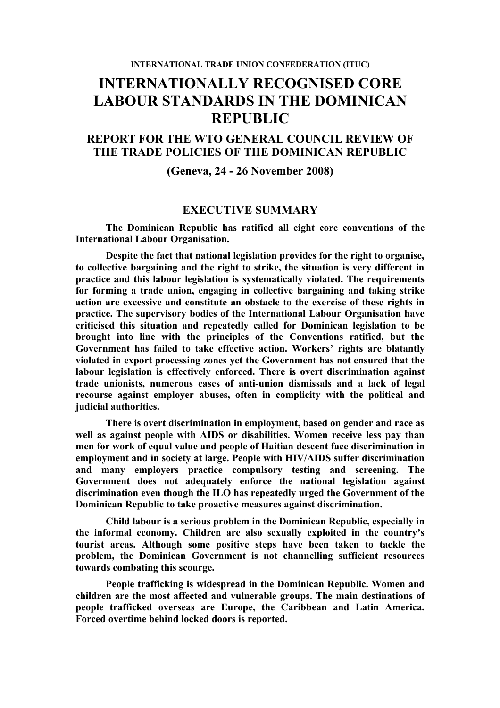# **INTERNATIONALLY RECOGNISED CORE LABOUR STANDARDS IN THE DOMINICAN REPUBLIC**

# **REPORT FOR THE WTO GENERAL COUNCIL REVIEW OF THE TRADE POLICIES OF THE DOMINICAN REPUBLIC**

#### **(Geneva, 24 - 26 November 2008)**

## **EXECUTIVE SUMMARY**

**The Dominican Republic has ratified all eight core conventions of the International Labour Organisation.**

**Despite the fact that national legislation provides for the right to organise, to collective bargaining and the right to strike, the situation is very different in practice and this labour legislation is systematically violated. The requirements for forming a trade union, engaging in collective bargaining and taking strike action are excessive and constitute an obstacle to the exercise of these rights in practice. The supervisory bodies of the International Labour Organisation have criticised this situation and repeatedly called for Dominican legislation to be brought into line with the principles of the Conventions ratified, but the Government has failed to take effective action. Workers' rights are blatantly violated in export processing zones yet the Government has not ensured that the labour legislation is effectively enforced. There is overt discrimination against trade unionists, numerous cases of anti-union dismissals and a lack of legal recourse against employer abuses, often in complicity with the political and judicial authorities.** 

**There is overt discrimination in employment, based on gender and race as well as against people with AIDS or disabilities. Women receive less pay than men for work of equal value and people of Haitian descent face discrimination in employment and in society at large. People with HIV/AIDS suffer discrimination and many employers practice compulsory testing and screening. The Government does not adequately enforce the national legislation against discrimination even though the ILO has repeatedly urged the Government of the Dominican Republic to take proactive measures against discrimination.** 

**Child labour is a serious problem in the Dominican Republic, especially in the informal economy. Children are also sexually exploited in the country's tourist areas. Although some positive steps have been taken to tackle the problem, the Dominican Government is not channelling sufficient resources towards combating this scourge.**

**People trafficking is widespread in the Dominican Republic. Women and children are the most affected and vulnerable groups. The main destinations of people trafficked overseas are Europe, the Caribbean and Latin America. Forced overtime behind locked doors is reported.**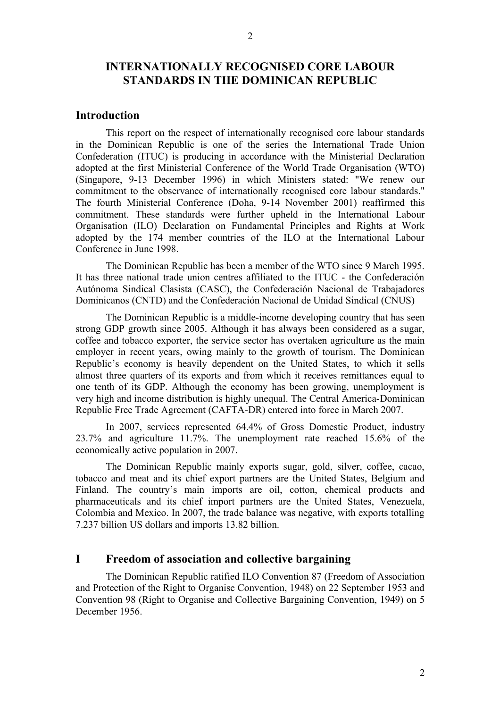# **INTERNATIONALLY RECOGNISED CORE LABOUR STANDARDS IN THE DOMINICAN REPUBLIC**

## **Introduction**

This report on the respect of internationally recognised core labour standards in the Dominican Republic is one of the series the International Trade Union Confederation (ITUC) is producing in accordance with the Ministerial Declaration adopted at the first Ministerial Conference of the World Trade Organisation (WTO) (Singapore, 9-13 December 1996) in which Ministers stated: "We renew our commitment to the observance of internationally recognised core labour standards." The fourth Ministerial Conference (Doha, 9-14 November 2001) reaffirmed this commitment. These standards were further upheld in the International Labour Organisation (ILO) Declaration on Fundamental Principles and Rights at Work adopted by the 174 member countries of the ILO at the International Labour Conference in June 1998.

The Dominican Republic has been a member of the WTO since 9 March 1995. It has three national trade union centres affiliated to the ITUC - the Confederación Autónoma Sindical Clasista (CASC), the Confederación Nacional de Trabajadores Dominicanos (CNTD) and the Confederación Nacional de Unidad Sindical (CNUS)

The Dominican Republic is a middle-income developing country that has seen strong GDP growth since 2005. Although it has always been considered as a sugar, coffee and tobacco exporter, the service sector has overtaken agriculture as the main employer in recent years, owing mainly to the growth of tourism. The Dominican Republic's economy is heavily dependent on the United States, to which it sells almost three quarters of its exports and from which it receives remittances equal to one tenth of its GDP. Although the economy has been growing, unemployment is very high and income distribution is highly unequal. The Central America-Dominican Republic Free Trade Agreement (CAFTA-DR) entered into force in March 2007.

In 2007, services represented 64.4% of Gross Domestic Product, industry 23.7% and agriculture 11.7%. The unemployment rate reached 15.6% of the economically active population in 2007.

The Dominican Republic mainly exports sugar, gold, silver, coffee, cacao, tobacco and meat and its chief export partners are the United States, Belgium and Finland. The country's main imports are oil, cotton, chemical products and pharmaceuticals and its chief import partners are the United States, Venezuela, Colombia and Mexico. In 2007, the trade balance was negative, with exports totalling 7.237 billion US dollars and imports 13.82 billion.

## **I Freedom of association and collective bargaining**

The Dominican Republic ratified ILO Convention 87 (Freedom of Association and Protection of the Right to Organise Convention, 1948) on 22 September 1953 and Convention 98 (Right to Organise and Collective Bargaining Convention, 1949) on 5 December 1956.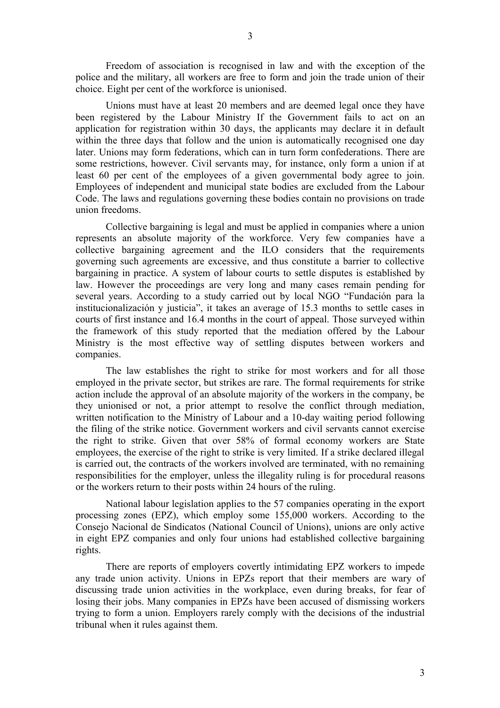Freedom of association is recognised in law and with the exception of the police and the military, all workers are free to form and join the trade union of their choice. Eight per cent of the workforce is unionised.

Unions must have at least 20 members and are deemed legal once they have been registered by the Labour Ministry If the Government fails to act on an application for registration within 30 days, the applicants may declare it in default within the three days that follow and the union is automatically recognised one day later. Unions may form federations, which can in turn form confederations. There are some restrictions, however. Civil servants may, for instance, only form a union if at least 60 per cent of the employees of a given governmental body agree to join. Employees of independent and municipal state bodies are excluded from the Labour Code. The laws and regulations governing these bodies contain no provisions on trade union freedoms.

Collective bargaining is legal and must be applied in companies where a union represents an absolute majority of the workforce. Very few companies have a collective bargaining agreement and the ILO considers that the requirements governing such agreements are excessive, and thus constitute a barrier to collective bargaining in practice. A system of labour courts to settle disputes is established by law. However the proceedings are very long and many cases remain pending for several years. According to a study carried out by local NGO "Fundación para la institucionalización y justicia", it takes an average of 15.3 months to settle cases in courts of first instance and 16.4 months in the court of appeal. Those surveyed within the framework of this study reported that the mediation offered by the Labour Ministry is the most effective way of settling disputes between workers and companies.

The law establishes the right to strike for most workers and for all those employed in the private sector, but strikes are rare. The formal requirements for strike action include the approval of an absolute majority of the workers in the company, be they unionised or not, a prior attempt to resolve the conflict through mediation, written notification to the Ministry of Labour and a 10-day waiting period following the filing of the strike notice. Government workers and civil servants cannot exercise the right to strike. Given that over 58% of formal economy workers are State employees, the exercise of the right to strike is very limited. If a strike declared illegal is carried out, the contracts of the workers involved are terminated, with no remaining responsibilities for the employer, unless the illegality ruling is for procedural reasons or the workers return to their posts within 24 hours of the ruling.

National labour legislation applies to the 57 companies operating in the export processing zones (EPZ), which employ some 155,000 workers. According to the Consejo Nacional de Sindicatos (National Council of Unions), unions are only active in eight EPZ companies and only four unions had established collective bargaining rights.

There are reports of employers covertly intimidating EPZ workers to impede any trade union activity. Unions in EPZs report that their members are wary of discussing trade union activities in the workplace, even during breaks, for fear of losing their jobs. Many companies in EPZs have been accused of dismissing workers trying to form a union. Employers rarely comply with the decisions of the industrial tribunal when it rules against them.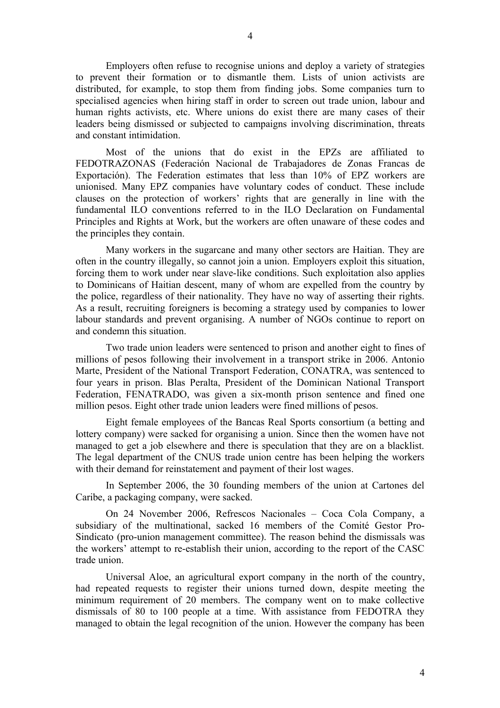Employers often refuse to recognise unions and deploy a variety of strategies to prevent their formation or to dismantle them. Lists of union activists are distributed, for example, to stop them from finding jobs. Some companies turn to specialised agencies when hiring staff in order to screen out trade union, labour and human rights activists, etc. Where unions do exist there are many cases of their leaders being dismissed or subjected to campaigns involving discrimination, threats and constant intimidation.

Most of the unions that do exist in the EPZs are affiliated to FEDOTRAZONAS (Federación Nacional de Trabajadores de Zonas Francas de Exportación). The Federation estimates that less than 10% of EPZ workers are unionised. Many EPZ companies have voluntary codes of conduct. These include clauses on the protection of workers' rights that are generally in line with the fundamental ILO conventions referred to in the ILO Declaration on Fundamental Principles and Rights at Work, but the workers are often unaware of these codes and the principles they contain.

Many workers in the sugarcane and many other sectors are Haitian. They are often in the country illegally, so cannot join a union. Employers exploit this situation, forcing them to work under near slave-like conditions. Such exploitation also applies to Dominicans of Haitian descent, many of whom are expelled from the country by the police, regardless of their nationality. They have no way of asserting their rights. As a result, recruiting foreigners is becoming a strategy used by companies to lower labour standards and prevent organising. A number of NGOs continue to report on and condemn this situation.

Two trade union leaders were sentenced to prison and another eight to fines of millions of pesos following their involvement in a transport strike in 2006. Antonio Marte, President of the National Transport Federation, CONATRA, was sentenced to four years in prison. Blas Peralta, President of the Dominican National Transport Federation, FENATRADO, was given a six-month prison sentence and fined one million pesos. Eight other trade union leaders were fined millions of pesos.

Eight female employees of the Bancas Real Sports consortium (a betting and lottery company) were sacked for organising a union. Since then the women have not managed to get a job elsewhere and there is speculation that they are on a blacklist. The legal department of the CNUS trade union centre has been helping the workers with their demand for reinstatement and payment of their lost wages.

In September 2006, the 30 founding members of the union at Cartones del Caribe, a packaging company, were sacked.

On 24 November 2006, Refrescos Nacionales – Coca Cola Company, a subsidiary of the multinational, sacked 16 members of the Comité Gestor Pro-Sindicato (pro-union management committee). The reason behind the dismissals was the workers' attempt to re-establish their union, according to the report of the CASC trade union.

Universal Aloe, an agricultural export company in the north of the country, had repeated requests to register their unions turned down, despite meeting the minimum requirement of 20 members. The company went on to make collective dismissals of 80 to 100 people at a time. With assistance from FEDOTRA they managed to obtain the legal recognition of the union. However the company has been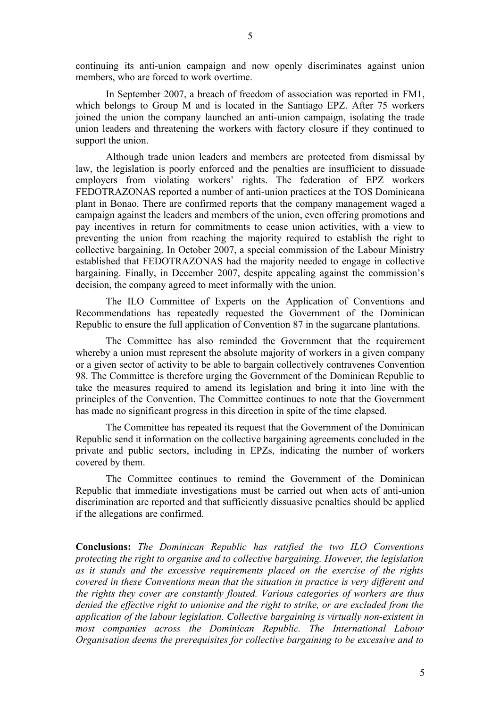continuing its anti-union campaign and now openly discriminates against union members, who are forced to work overtime.

In September 2007, a breach of freedom of association was reported in FM1, which belongs to Group M and is located in the Santiago EPZ. After 75 workers joined the union the company launched an anti-union campaign, isolating the trade union leaders and threatening the workers with factory closure if they continued to support the union.

Although trade union leaders and members are protected from dismissal by law, the legislation is poorly enforced and the penalties are insufficient to dissuade employers from violating workers' rights. The federation of EPZ workers FEDOTRAZONAS reported a number of anti-union practices at the TOS Dominicana plant in Bonao. There are confirmed reports that the company management waged a campaign against the leaders and members of the union, even offering promotions and pay incentives in return for commitments to cease union activities, with a view to preventing the union from reaching the majority required to establish the right to collective bargaining. In October 2007, a special commission of the Labour Ministry established that FEDOTRAZONAS had the majority needed to engage in collective bargaining. Finally, in December 2007, despite appealing against the commission's decision, the company agreed to meet informally with the union.

The ILO Committee of Experts on the Application of Conventions and Recommendations has repeatedly requested the Government of the Dominican Republic to ensure the full application of Convention 87 in the sugarcane plantations.

The Committee has also reminded the Government that the requirement whereby a union must represent the absolute majority of workers in a given company or a given sector of activity to be able to bargain collectively contravenes Convention 98. The Committee is therefore urging the Government of the Dominican Republic to take the measures required to amend its legislation and bring it into line with the principles of the Convention. The Committee continues to note that the Government has made no significant progress in this direction in spite of the time elapsed.

The Committee has repeated its request that the Government of the Dominican Republic send it information on the collective bargaining agreements concluded in the private and public sectors, including in EPZs, indicating the number of workers covered by them.

The Committee continues to remind the Government of the Dominican Republic that immediate investigations must be carried out when acts of anti-union discrimination are reported and that sufficiently dissuasive penalties should be applied if the allegations are confirmed.

**Conclusions:** *The Dominican Republic has ratified the two ILO Conventions protecting the right to organise and to collective bargaining. However, the legislation as it stands and the excessive requirements placed on the exercise of the rights covered in these Conventions mean that the situation in practice is very different and the rights they cover are constantly flouted. Various categories of workers are thus denied the effective right to unionise and the right to strike, or are excluded from the application of the labour legislation. Collective bargaining is virtually non-existent in most companies across the Dominican Republic. The International Labour Organisation deems the prerequisites for collective bargaining to be excessive and to*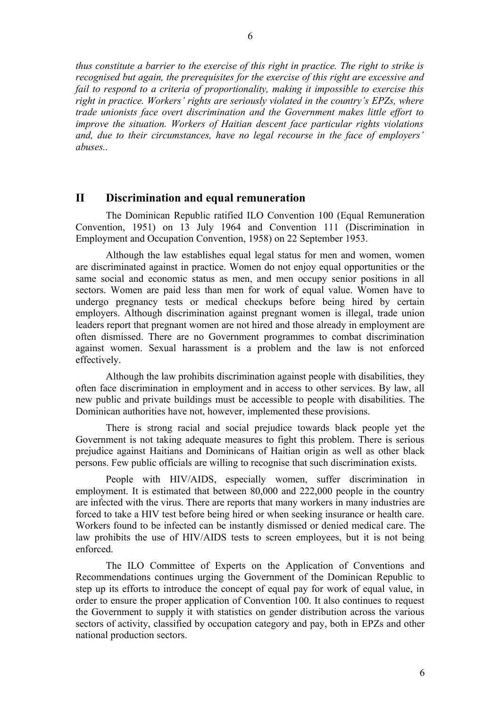*thus constitute a barrier to the exercise of this right in practice. The right to strike is recognised but again, the prerequisites for the exercise of this right are excessive and fail to respond to a criteria of proportionality, making it impossible to exercise this right in practice. Workers' rights are seriously violated in the country's EPZs, where trade unionists face overt discrimination and the Government makes little effort to improve the situation. Workers of Haitian descent face particular rights violations and, due to their circumstances, have no legal recourse in the face of employers' abuses..*

## **II Discrimination and equal remuneration**

The Dominican Republic ratified ILO Convention 100 (Equal Remuneration Convention, 1951) on 13 July 1964 and Convention 111 (Discrimination in Employment and Occupation Convention, 1958) on 22 September 1953.

Although the law establishes equal legal status for men and women, women are discriminated against in practice. Women do not enjoy equal opportunities or the same social and economic status as men, and men occupy senior positions in all sectors. Women are paid less than men for work of equal value. Women have to undergo pregnancy tests or medical checkups before being hired by certain employers. Although discrimination against pregnant women is illegal, trade union leaders report that pregnant women are not hired and those already in employment are often dismissed. There are no Government programmes to combat discrimination against women. Sexual harassment is a problem and the law is not enforced effectively.

Although the law prohibits discrimination against people with disabilities, they often face discrimination in employment and in access to other services. By law, all new public and private buildings must be accessible to people with disabilities. The Dominican authorities have not, however, implemented these provisions.

There is strong racial and social prejudice towards black people yet the Government is not taking adequate measures to fight this problem. There is serious prejudice against Haitians and Dominicans of Haitian origin as well as other black persons. Few public officials are willing to recognise that such discrimination exists.

People with HIV/AIDS, especially women, suffer discrimination in employment. It is estimated that between 80,000 and 222,000 people in the country are infected with the virus. There are reports that many workers in many industries are forced to take a HIV test before being hired or when seeking insurance or health care. Workers found to be infected can be instantly dismissed or denied medical care. The law prohibits the use of HIV/AIDS tests to screen employees, but it is not being enforced.

The ILO Committee of Experts on the Application of Conventions and Recommendations continues urging the Government of the Dominican Republic to step up its efforts to introduce the concept of equal pay for work of equal value, in order to ensure the proper application of Convention 100. It also continues to request the Government to supply it with statistics on gender distribution across the various sectors of activity, classified by occupation category and pay, both in EPZs and other national production sectors.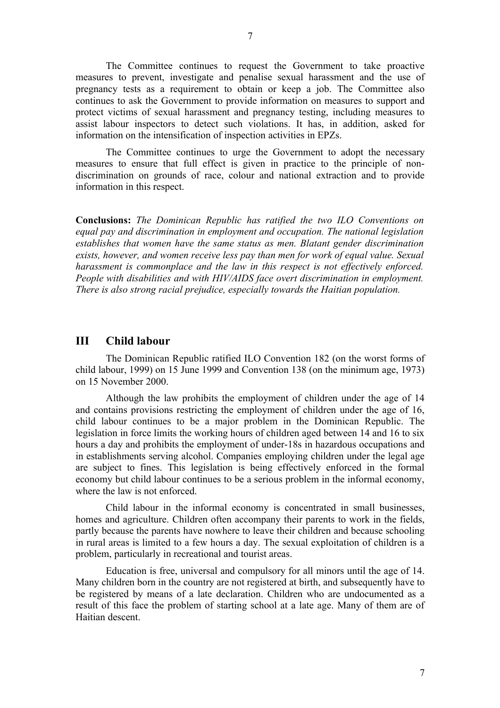The Committee continues to request the Government to take proactive measures to prevent, investigate and penalise sexual harassment and the use of pregnancy tests as a requirement to obtain or keep a job. The Committee also continues to ask the Government to provide information on measures to support and protect victims of sexual harassment and pregnancy testing, including measures to assist labour inspectors to detect such violations. It has, in addition, asked for information on the intensification of inspection activities in EPZs.

The Committee continues to urge the Government to adopt the necessary measures to ensure that full effect is given in practice to the principle of nondiscrimination on grounds of race, colour and national extraction and to provide information in this respect.

**Conclusions:** *The Dominican Republic has ratified the two ILO Conventions on equal pay and discrimination in employment and occupation. The national legislation establishes that women have the same status as men. Blatant gender discrimination exists, however, and women receive less pay than men for work of equal value. Sexual harassment is commonplace and the law in this respect is not effectively enforced. People with disabilities and with HIV/AIDS face overt discrimination in employment. There is also strong racial prejudice, especially towards the Haitian population.* 

## **III Child labour**

The Dominican Republic ratified ILO Convention 182 (on the worst forms of child labour, 1999) on 15 June 1999 and Convention 138 (on the minimum age, 1973) on 15 November 2000.

Although the law prohibits the employment of children under the age of 14 and contains provisions restricting the employment of children under the age of 16, child labour continues to be a major problem in the Dominican Republic. The legislation in force limits the working hours of children aged between 14 and 16 to six hours a day and prohibits the employment of under-18s in hazardous occupations and in establishments serving alcohol. Companies employing children under the legal age are subject to fines. This legislation is being effectively enforced in the formal economy but child labour continues to be a serious problem in the informal economy, where the law is not enforced.

Child labour in the informal economy is concentrated in small businesses, homes and agriculture. Children often accompany their parents to work in the fields, partly because the parents have nowhere to leave their children and because schooling in rural areas is limited to a few hours a day. The sexual exploitation of children is a problem, particularly in recreational and tourist areas.

Education is free, universal and compulsory for all minors until the age of 14. Many children born in the country are not registered at birth, and subsequently have to be registered by means of a late declaration. Children who are undocumented as a result of this face the problem of starting school at a late age. Many of them are of Haitian descent.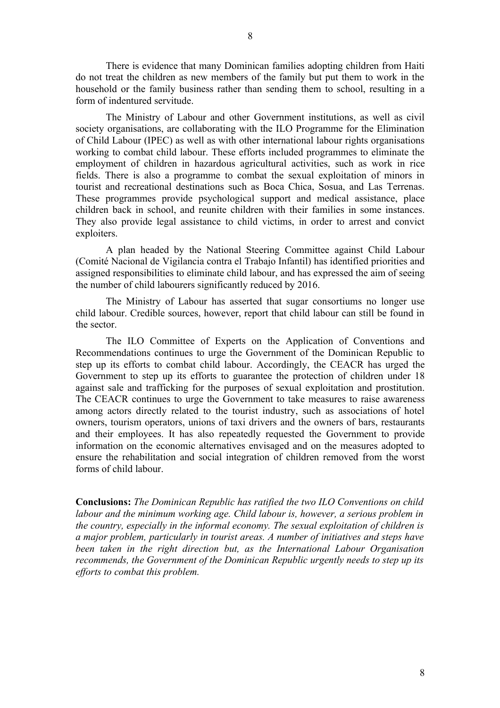There is evidence that many Dominican families adopting children from Haiti do not treat the children as new members of the family but put them to work in the household or the family business rather than sending them to school, resulting in a

form of indentured servitude.

The Ministry of Labour and other Government institutions, as well as civil society organisations, are collaborating with the ILO Programme for the Elimination of Child Labour (IPEC) as well as with other international labour rights organisations working to combat child labour. These efforts included programmes to eliminate the employment of children in hazardous agricultural activities, such as work in rice fields. There is also a programme to combat the sexual exploitation of minors in tourist and recreational destinations such as Boca Chica, Sosua, and Las Terrenas. These programmes provide psychological support and medical assistance, place children back in school, and reunite children with their families in some instances. They also provide legal assistance to child victims, in order to arrest and convict exploiters.

A plan headed by the National Steering Committee against Child Labour (Comité Nacional de Vigilancia contra el Trabajo Infantil) has identified priorities and assigned responsibilities to eliminate child labour, and has expressed the aim of seeing the number of child labourers significantly reduced by 2016.

The Ministry of Labour has asserted that sugar consortiums no longer use child labour. Credible sources, however, report that child labour can still be found in the sector.

The ILO Committee of Experts on the Application of Conventions and Recommendations continues to urge the Government of the Dominican Republic to step up its efforts to combat child labour. Accordingly, the CEACR has urged the Government to step up its efforts to guarantee the protection of children under 18 against sale and trafficking for the purposes of sexual exploitation and prostitution. The CEACR continues to urge the Government to take measures to raise awareness among actors directly related to the tourist industry, such as associations of hotel owners, tourism operators, unions of taxi drivers and the owners of bars, restaurants and their employees. It has also repeatedly requested the Government to provide information on the economic alternatives envisaged and on the measures adopted to ensure the rehabilitation and social integration of children removed from the worst forms of child labour.

**Conclusions:** *The Dominican Republic has ratified the two ILO Conventions on child labour and the minimum working age. Child labour is, however, a serious problem in the country, especially in the informal economy. The sexual exploitation of children is a major problem, particularly in tourist areas. A number of initiatives and steps have been taken in the right direction but, as the International Labour Organisation recommends, the Government of the Dominican Republic urgently needs to step up its efforts to combat this problem.*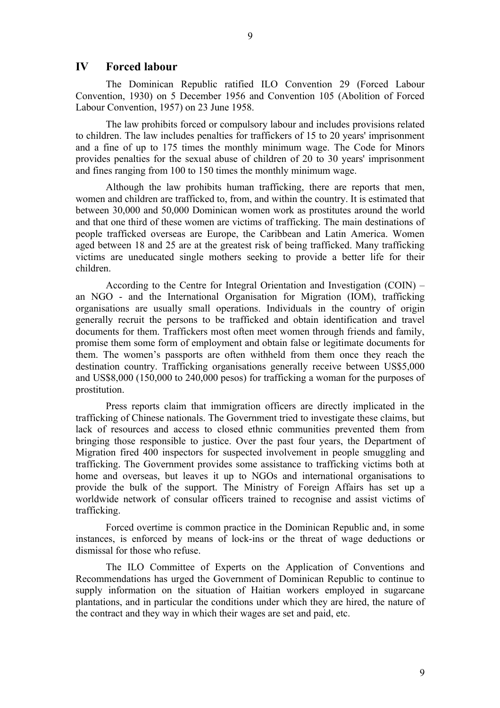#### **IV Forced labour**

The Dominican Republic ratified ILO Convention 29 (Forced Labour Convention, 1930) on 5 December 1956 and Convention 105 (Abolition of Forced Labour Convention, 1957) on 23 June 1958.

The law prohibits forced or compulsory labour and includes provisions related to children. The law includes penalties for traffickers of 15 to 20 years' imprisonment and a fine of up to 175 times the monthly minimum wage. The Code for Minors provides penalties for the sexual abuse of children of 20 to 30 years' imprisonment and fines ranging from 100 to 150 times the monthly minimum wage.

Although the law prohibits human trafficking, there are reports that men, women and children are trafficked to, from, and within the country. It is estimated that between 30,000 and 50,000 Dominican women work as prostitutes around the world and that one third of these women are victims of trafficking. The main destinations of people trafficked overseas are Europe, the Caribbean and Latin America. Women aged between 18 and 25 are at the greatest risk of being trafficked. Many trafficking victims are uneducated single mothers seeking to provide a better life for their children.

According to the Centre for Integral Orientation and Investigation (COIN) – an NGO - and the International Organisation for Migration (IOM), trafficking organisations are usually small operations. Individuals in the country of origin generally recruit the persons to be trafficked and obtain identification and travel documents for them. Traffickers most often meet women through friends and family, promise them some form of employment and obtain false or legitimate documents for them. The women's passports are often withheld from them once they reach the destination country. Trafficking organisations generally receive between US\$5,000 and US\$8,000 (150,000 to 240,000 pesos) for trafficking a woman for the purposes of prostitution.

Press reports claim that immigration officers are directly implicated in the trafficking of Chinese nationals. The Government tried to investigate these claims, but lack of resources and access to closed ethnic communities prevented them from bringing those responsible to justice. Over the past four years, the Department of Migration fired 400 inspectors for suspected involvement in people smuggling and trafficking. The Government provides some assistance to trafficking victims both at home and overseas, but leaves it up to NGOs and international organisations to provide the bulk of the support. The Ministry of Foreign Affairs has set up a worldwide network of consular officers trained to recognise and assist victims of trafficking.

Forced overtime is common practice in the Dominican Republic and, in some instances, is enforced by means of lock-ins or the threat of wage deductions or dismissal for those who refuse.

The ILO Committee of Experts on the Application of Conventions and Recommendations has urged the Government of Dominican Republic to continue to supply information on the situation of Haitian workers employed in sugarcane plantations, and in particular the conditions under which they are hired, the nature of the contract and they way in which their wages are set and paid, etc.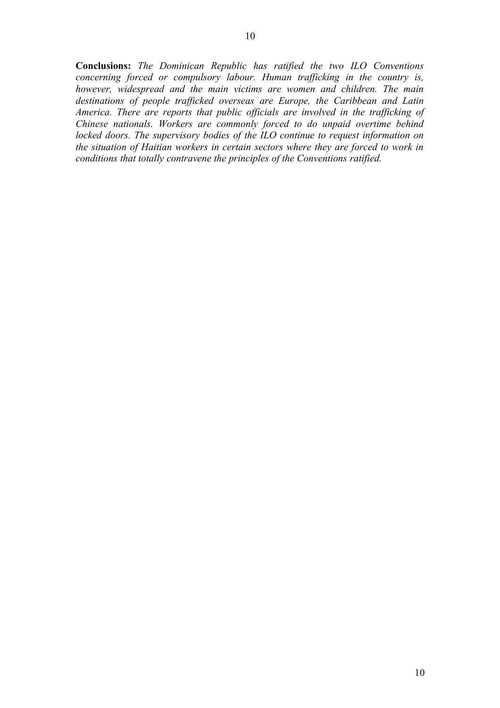10

**Conclusions:** *The Dominican Republic has ratified the two ILO Conventions concerning forced or compulsory labour. Human trafficking in the country is, however, widespread and the main victims are women and children. The main destinations of people trafficked overseas are Europe, the Caribbean and Latin America. There are reports that public officials are involved in the trafficking of Chinese nationals. Workers are commonly forced to do unpaid overtime behind locked doors. The supervisory bodies of the ILO continue to request information on the situation of Haitian workers in certain sectors where they are forced to work in conditions that totally contravene the principles of the Conventions ratified.*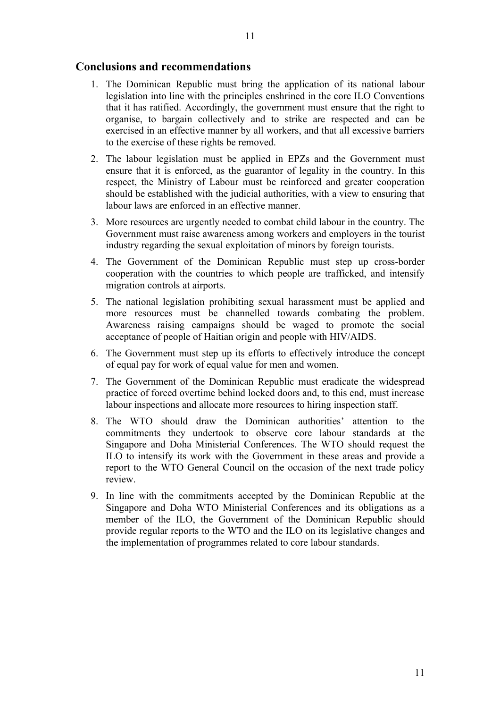#### **Conclusions and recommendations**

- 1. The Dominican Republic must bring the application of its national labour legislation into line with the principles enshrined in the core ILO Conventions that it has ratified. Accordingly, the government must ensure that the right to organise, to bargain collectively and to strike are respected and can be exercised in an effective manner by all workers, and that all excessive barriers to the exercise of these rights be removed.
- 2. The labour legislation must be applied in EPZs and the Government must ensure that it is enforced, as the guarantor of legality in the country. In this respect, the Ministry of Labour must be reinforced and greater cooperation should be established with the judicial authorities, with a view to ensuring that labour laws are enforced in an effective manner.
- 3. More resources are urgently needed to combat child labour in the country. The Government must raise awareness among workers and employers in the tourist industry regarding the sexual exploitation of minors by foreign tourists.
- 4. The Government of the Dominican Republic must step up cross-border cooperation with the countries to which people are trafficked, and intensify migration controls at airports.
- 5. The national legislation prohibiting sexual harassment must be applied and more resources must be channelled towards combating the problem. Awareness raising campaigns should be waged to promote the social acceptance of people of Haitian origin and people with HIV/AIDS.
- 6. The Government must step up its efforts to effectively introduce the concept of equal pay for work of equal value for men and women.
- 7. The Government of the Dominican Republic must eradicate the widespread practice of forced overtime behind locked doors and, to this end, must increase labour inspections and allocate more resources to hiring inspection staff.
- 8. The WTO should draw the Dominican authorities' attention to the commitments they undertook to observe core labour standards at the Singapore and Doha Ministerial Conferences. The WTO should request the ILO to intensify its work with the Government in these areas and provide a report to the WTO General Council on the occasion of the next trade policy review.
- 9. In line with the commitments accepted by the Dominican Republic at the Singapore and Doha WTO Ministerial Conferences and its obligations as a member of the ILO, the Government of the Dominican Republic should provide regular reports to the WTO and the ILO on its legislative changes and the implementation of programmes related to core labour standards.